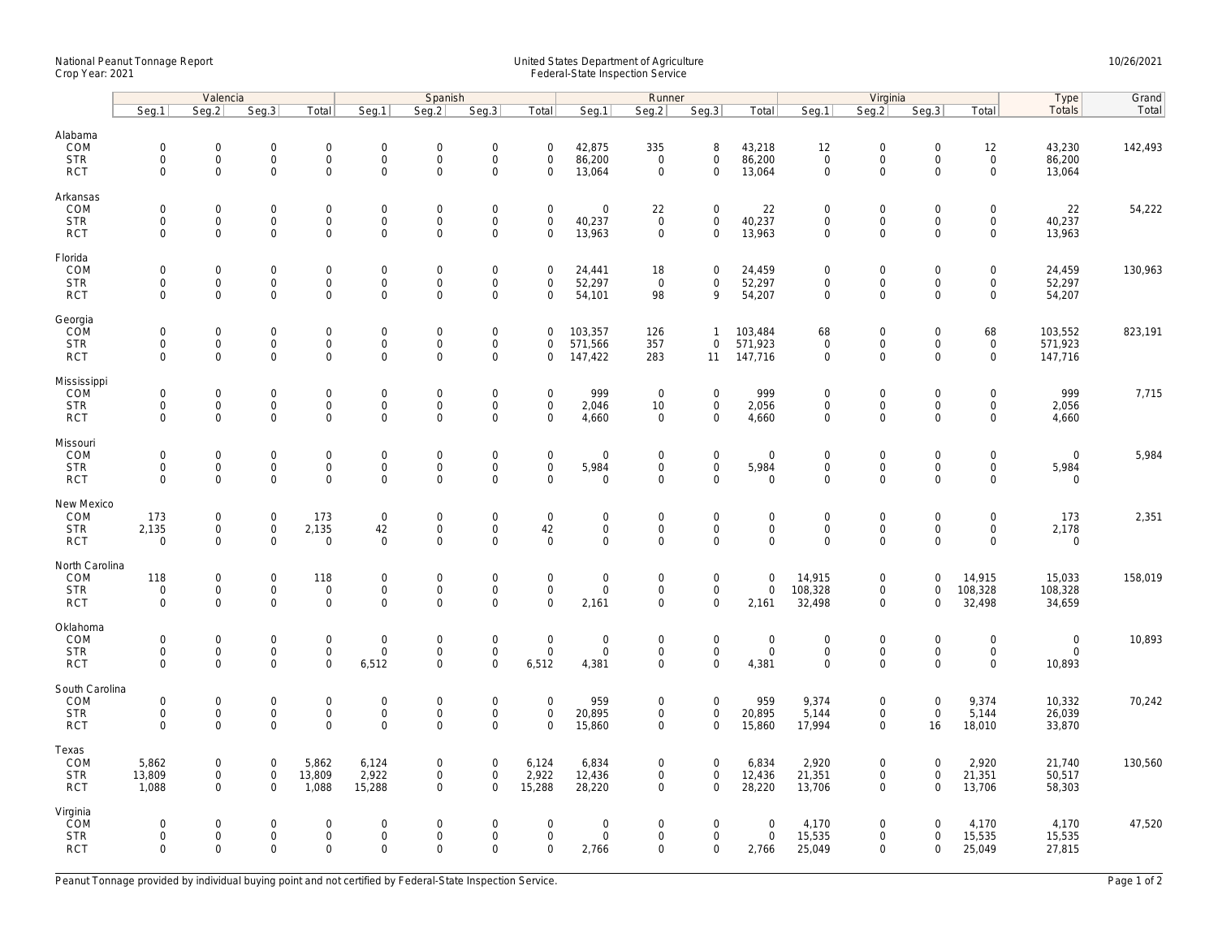## National Peanut Tonnage Report United States Department of Agriculture 10/26/2021<br>Crop Year: 2021 Federal-State Inspection Service

|                                                    | Valencia                                  |                                                           |                                                   |                                                            | Spanish                                         |                                                   |                                                           |                                                   | Runner                                              |                                                   |                                                            |                                            | Virginia                                          |                                                            |                                                   |                                                            | Type                                 | Grand   |
|----------------------------------------------------|-------------------------------------------|-----------------------------------------------------------|---------------------------------------------------|------------------------------------------------------------|-------------------------------------------------|---------------------------------------------------|-----------------------------------------------------------|---------------------------------------------------|-----------------------------------------------------|---------------------------------------------------|------------------------------------------------------------|--------------------------------------------|---------------------------------------------------|------------------------------------------------------------|---------------------------------------------------|------------------------------------------------------------|--------------------------------------|---------|
|                                                    | Seq.1                                     | Seg.2                                                     | Seq.3                                             | Total                                                      | Seg.1                                           | Seq.2                                             | Seq.3                                                     | Total                                             | Seg.1                                               | Seq.2                                             | Seq.3                                                      | Total                                      | Seg.1                                             | Seq.2                                                      | Seq.3                                             | Total                                                      | Totals                               | Total   |
| Alabama<br>COM<br><b>STR</b><br><b>RCT</b>         | $\mathbf 0$<br>$\mathbf 0$<br>$\mathbf 0$ | $\mathbf 0$<br>0<br>$\mathbf 0$                           | $\mathbf 0$<br>$\mathsf{O}\xspace$<br>$\mathbf 0$ | $\mathbf 0$<br>$\mathsf{O}\xspace$<br>$\mathbf 0$          | $\mathsf{O}$<br>$\mathsf{O}$<br>$\mathsf{O}$    | $\mathbf 0$<br>$\mathsf{O}\xspace$<br>$\mathbf 0$ | $\mathbf 0$<br>$\mathsf{O}\xspace$<br>$\mathbf 0$         | $\mathbf 0$<br>$\mathsf{O}\xspace$<br>$\mathbf 0$ | 42,875<br>86,200<br>13,064                          | 335<br>$\overline{0}$<br>$\mathbf 0$              | 8<br>$\mathsf{O}\xspace$<br>$\mathbf 0$                    | 43,218<br>86,200<br>13,064                 | 12<br>$\mathsf 0$<br>$\mathbf 0$                  | $\mathbf 0$<br>$\mathsf{O}$<br>$\mathbf 0$                 | $\mathbf 0$<br>$\mathsf{O}\xspace$<br>$\mathbf 0$ | 12<br>$\mathsf{O}\xspace$<br>$\mathsf{O}$                  | 43,230<br>86,200<br>13,064           | 142,493 |
| Arkansas<br>COM<br><b>STR</b><br><b>RCT</b>        | $\mathbf 0$<br>$\mathbf 0$<br>$\mathbf 0$ | $\mathsf{O}\xspace$<br>$\mathsf{O}$<br>$\mathbf 0$        | $\mathbf 0$<br>$\mathbf 0$<br>$\mathbf 0$         | $\mathsf{O}\xspace$<br>$\mathbf 0$<br>$\mathbf 0$          | $\mathbf 0$<br>$\mathsf{O}$<br>$\mathsf{O}$     | $\mathbf 0$<br>$\mathbf 0$<br>$\mathbf 0$         | $\mathsf{O}\xspace$<br>$\mathsf 0$<br>$\mathsf 0$         | $\mathsf 0$<br>$\mathbf 0$<br>$\mathbf 0$         | $\mathsf{O}\xspace$<br>40,237<br>13,963             | 22<br>$\mathbf 0$<br>$\mathbf 0$                  | $\mathbf 0$<br>$\mathbf 0$<br>$\mathbf 0$                  | 22<br>40,237<br>13,963                     | $\mathbf 0$<br>$\mathbf 0$<br>$\mathbf 0$         | $\mathsf{O}\xspace$<br>$\mathsf{O}$<br>$\mathsf{O}\xspace$ | $\mathsf 0$<br>$\mathbf 0$<br>$\mathbf 0$         | $\mathsf{O}\xspace$<br>$\mathsf{O}$<br>$\mathsf{O}$        | 22<br>40,237<br>13,963               | 54,222  |
| Florida<br>COM<br><b>STR</b><br><b>RCT</b>         | $\mathbf 0$<br>$\mathbf 0$<br>$\Omega$    | $\mathbf 0$<br>$\mathsf{O}$<br>$\mathbf 0$                | $\mathbf 0$<br>$\mathsf{O}\xspace$<br>$\mathbf 0$ | $\mathsf{O}\xspace$<br>$\mathbf 0$<br>$\mathbf 0$          | $\boldsymbol{0}$<br>$\mathsf{O}$<br>$\mathbf 0$ | $\mathbf 0$<br>$\mathsf{O}\xspace$<br>$\mathbf 0$ | $\mathsf{O}\xspace$<br>$\mathsf 0$<br>$\mathbf 0$         | $\mathbf 0$<br>$\mathbf 0$<br>$\mathbf 0$         | 24,441<br>52,297<br>54,101                          | 18<br>$\mathbf 0$<br>98                           | $\mathbf 0$<br>$\mathbf 0$<br>9                            | 24,459<br>52,297<br>54,207                 | $\mathbf 0$<br>$\mathsf{O}\xspace$<br>$\mathbf 0$ | $\mathsf{O}\xspace$<br>$\mathsf{O}$<br>$\mathbf 0$         | $\mathbf 0$<br>$\mathbf 0$<br>$\Omega$            | $\mathsf{O}\xspace$<br>$\mathsf{O}$<br>$\mathbf 0$         | 24,459<br>52,297<br>54,207           | 130,963 |
| Georgia<br>COM<br><b>STR</b><br><b>RCT</b>         | $\mathbf 0$<br>$\mathbf 0$<br>$\mathbf 0$ | $\mathbf 0$<br>$\mathbf 0$<br>$\mathbf 0$                 | $\mathbf 0$<br>$\mathbf 0$<br>$\mathbf 0$         | $\mathsf{O}\xspace$<br>$\mathbf 0$<br>$\mathbf 0$          | $\boldsymbol{0}$<br>$\mathbf 0$<br>$\mathbf 0$  | $\mathbf 0$<br>$\mathsf 0$<br>$\mathbf 0$         | $\mathsf{O}\xspace$<br>$\mathsf 0$<br>$\mathbf 0$         | $\mathbf 0$<br>$\mathsf 0$<br>$\mathbf 0$         | 103,357<br>571,566<br>147,422                       | 126<br>357<br>283                                 | $\mathbf{1}$<br>$\mathbf 0$<br>11                          | 103,484<br>571,923<br>147,716              | 68<br>$\mathbf 0$<br>$\mathbf 0$                  | $\mathsf{O}\xspace$<br>$\mathsf{O}\xspace$<br>$\mathbf 0$  | $\mathsf 0$<br>$\mathsf 0$<br>$\Omega$            | 68<br>$\mathbf 0$<br>$\mathbf 0$                           | 103,552<br>571,923<br>147,716        | 823,191 |
| Mississippi<br>COM<br><b>STR</b><br><b>RCT</b>     | $\mathbf 0$<br>$\mathbf 0$<br>$\mathbf 0$ | $\mathbf 0$<br>$\mathsf{O}\xspace$<br>$\mathbf{0}$        | $\mathbf 0$<br>$\mathbf 0$<br>$\mathbf 0$         | $\mathbf 0$<br>$\mathsf{O}\xspace$<br>$\mathbf 0$          | $\mathsf{O}$<br>$\mathsf{O}$<br>$\mathbf 0$     | $\mathbf 0$<br>$\mathsf 0$<br>$\mathbf 0$         | $\mathsf{O}\xspace$<br>$\mathsf{O}\xspace$<br>$\mathbf 0$ | $\mathbf 0$<br>$\mathsf 0$<br>$\mathbf 0$         | 999<br>2,046<br>4,660                               | $\mathbf 0$<br>10<br>$\mathbf 0$                  | $\mathsf 0$<br>$\mathsf{O}\xspace$<br>$\mathbf 0$          | 999<br>2,056<br>4,660                      | $\mathbf 0$<br>$\mathsf{O}\xspace$<br>$\mathbf 0$ | $\mathbf 0$<br>$\mathsf{O}\xspace$<br>$\mathbf 0$          | $\mathbf 0$<br>$\mathbf 0$<br>$\Omega$            | $\mathbf 0$<br>$\mathsf{O}\xspace$<br>$\mathbf 0$          | 999<br>2,056<br>4,660                | 7,715   |
| Missouri<br>COM<br><b>STR</b><br><b>RCT</b>        | $\mathbf 0$<br>$\mathbf 0$<br>$\mathbf 0$ | $\mathsf{O}\xspace$<br>$\mathsf{O}\xspace$<br>$\mathbf 0$ | $\mathbf 0$<br>$\mathsf{O}\xspace$<br>$\mathbf 0$ | $\mathsf{O}\xspace$<br>$\mathsf{O}\xspace$<br>$\mathbf 0$  | $\mathbf 0$<br>$\boldsymbol{0}$<br>$\mathbf 0$  | $\mathbf 0$<br>$\mathbf 0$<br>$\mathbf 0$         | $\mathsf{O}\xspace$<br>$\mathsf{O}\xspace$<br>$\mathbf 0$ | $\mathsf 0$<br>$\mathsf{O}\xspace$<br>$\mathbf 0$ | $\mathsf{O}\xspace$<br>5,984<br>$\mathbf 0$         | $\mathsf 0$<br>$\mathsf{O}\xspace$<br>$\mathbf 0$ | $\mathsf{O}\xspace$<br>$\mathsf{O}\xspace$<br>$\mathbf{0}$ | $\mathbf 0$<br>5,984<br>$\mathbf 0$        | $\mathbf 0$<br>$\mathsf{O}\xspace$<br>$\mathbf 0$ | $\mathbf 0$<br>$\mathsf{O}\xspace$<br>$\mathbf 0$          | $\mathsf 0$<br>$\mathsf{O}\xspace$<br>$\mathbf 0$ | $\mathsf{O}\xspace$<br>$\mathsf{O}\xspace$<br>$\mathbf{0}$ | $\mathbf{0}$<br>5,984<br>$\mathbf 0$ | 5,984   |
| New Mexico<br>COM<br><b>STR</b><br><b>RCT</b>      | 173<br>2,135<br>$\mathbf 0$               | $\mathbf 0$<br>$\mathbf 0$<br>$\mathbf 0$                 | $\mathbf 0$<br>$\mathbf 0$<br>$\mathbf 0$         | 173<br>2,135<br>$\mathbf 0$                                | $\mathsf{O}$<br>42<br>$\mathbf 0$               | $\mathbf 0$<br>$\mathbf 0$<br>$\mathbf 0$         | $\mathsf{O}\xspace$<br>$\mathbf 0$<br>$\mathsf{O}\xspace$ | $\mathsf{O}\xspace$<br>42<br>$\mathbf 0$          | $\mathbf 0$<br>$\mathbf 0$<br>$\mathbf 0$           | $\mathbf 0$<br>$\mathbf 0$<br>0                   | $\mathbf 0$<br>$\mathbf{0}$<br>$\mathbf 0$                 | $\mathbf 0$<br>$\mathsf{O}$<br>$\mathbf 0$ | $\mathbf 0$<br>$\mathbf 0$<br>$\mathbf 0$         | $\mathbf 0$<br>$\mathsf{O}$<br>$\mathsf{O}\xspace$         | $\mathsf 0$<br>$\mathbf 0$<br>0                   | $\mathsf{O}\xspace$<br>$\mathsf{O}$<br>$\mathbf 0$         | 173<br>2,178<br>$\mathbf 0$          | 2,351   |
| North Carolina<br>COM<br><b>STR</b><br><b>RCT</b>  | 118<br>$\mathbf 0$<br>$\mathbf 0$         | $\mathsf{O}\xspace$<br>$\mathsf{O}$<br>$\mathbf{0}$       | $\mathbf 0$<br>$\mathsf{O}\xspace$<br>$\mathbf 0$ | 118<br>$\mathbf 0$<br>$\mathbf 0$                          | $\mathsf{O}$<br>$\mathsf{O}$<br>$\mathbf{0}$    | $\mathbf 0$<br>$\mathsf 0$<br>$\mathbf 0$         | $\mathsf{O}\xspace$<br>$\mathsf{O}\xspace$<br>$\mathbf 0$ | $\mathsf 0$<br>$\mathsf 0$<br>$\Omega$            | $\mathsf{O}\xspace$<br>$\mathsf{O}\xspace$<br>2,161 | $\mathbf 0$<br>$\mathbf 0$<br>$\mathbf 0$         | $\mathsf{O}\xspace$<br>$\mathbf 0$<br>$\mathbf{0}$         | $\mathbf 0$<br>$\mathsf{O}$<br>2,161       | 14,915<br>108,328<br>32,498                       | $\mathbf 0$<br>$\mathsf{O}\xspace$<br>$\mathbf 0$          | $\mathsf 0$<br>$\mathbf 0$<br>$\Omega$            | 14,915<br>108,328<br>32,498                                | 15,033<br>108,328<br>34,659          | 158,019 |
| Oklahoma<br>COM<br><b>STR</b><br><b>RCT</b>        | $\mathbf 0$<br>$\mathbf 0$<br>$\mathbf 0$ | 0<br>0<br>$\mathbf 0$                                     | $\mathbf 0$<br>$\mathsf 0$<br>$\mathbf 0$         | $\mathsf{O}\xspace$<br>$\mathbf 0$<br>$\mathbf{O}$         | $\boldsymbol{0}$<br>$\mathbf 0$<br>6,512        | $\mathbf 0$<br>$\mathbf 0$<br>$\Omega$            | $\mathsf{O}\xspace$<br>$\mathsf{O}\xspace$<br>$\mathbf 0$ | $\mathsf{O}\xspace$<br>$\mathbf 0$<br>6,512       | $\mathsf{O}\xspace$<br>$\mathsf{O}\xspace$<br>4,381 | $\mathbf 0$<br>$\mathbf 0$<br>$\mathbf 0$         | $\mathsf{O}\xspace$<br>$\mathsf{O}\xspace$<br>$\mathbf{0}$ | $\boldsymbol{0}$<br>$\mathbf 0$<br>4,381   | $\mathbf 0$<br>$\mathbf 0$<br>$\mathbf 0$         | $\mathsf{O}\xspace$<br>$\mathsf{O}\xspace$<br>$\mathbf 0$  | $\mathbf 0$<br>$\mathbf 0$<br>$\Omega$            | $\mathsf{O}\xspace$<br>$\mathbf 0$<br>$\mathbf 0$          | $\mathbf 0$<br>$\mathbf 0$<br>10,893 | 10,893  |
| South Carolina<br>COM<br><b>STR</b><br><b>RCT</b>  | $\mathbf 0$<br>$\mathbf 0$<br>$\mathbf 0$ | $\mathsf{O}\xspace$<br>$\mathsf{O}\xspace$<br>$\mathbf 0$ | $\mathbf 0$<br>$\mathsf 0$<br>$\mathbf 0$         | $\mathsf{O}\xspace$<br>$\mathsf{O}\xspace$<br>$\mathbf{O}$ | $\mathbf 0$<br>$\mathbf 0$<br>$\mathbf 0$       | $\mathbf 0$<br>$\mathbf 0$<br>$\mathbf 0$         | $\mathsf{O}\xspace$<br>$\mathsf{O}\xspace$<br>$\mathbf 0$ | $\mathbf 0$<br>$\mathsf 0$<br>$\Omega$            | 959<br>20,895<br>15,860                             | $\mathbf 0$<br>$\mathbf 0$<br>$\mathbf 0$         | $\mathsf{O}\xspace$<br>$\mathbf 0$<br>$\mathbf 0$          | 959<br>20,895<br>15,860                    | 9,374<br>5,144<br>17,994                          | $\mathsf{O}\xspace$<br>$\mathsf{O}\xspace$<br>$\mathbf 0$  | $\mathbf 0$<br>$\mathsf 0$<br>16                  | 9,374<br>5,144<br>18,010                                   | 10,332<br>26,039<br>33,870           | 70,242  |
| Texas<br>COM<br><b>STR</b><br><b>RCT</b>           | 5,862<br>13,809<br>1,088                  | $\mathsf{O}\xspace$<br>$\mathbf{O}$<br>$\mathbf{0}$       | $\mathsf{O}\xspace$<br>$\mathbf 0$<br>$\mathbf 0$ | 5,862<br>13,809<br>1,088                                   | 6,124<br>2,922<br>15,288                        | $\boldsymbol{0}$<br>$\mathbf{0}$<br>$\mathbf 0$   | $\mathsf{O}\xspace$<br>$\mathbf 0$<br>$\mathbf 0$         | 6,124<br>2,922<br>15,288                          | 6,834<br>12,436<br>28,220                           | 0<br>$\mathbf 0$<br>$\mathbf 0$                   | $\mathbf 0$<br>$\mathbf{0}$<br>$\mathbf 0$                 | 6,834<br>12,436<br>28,220                  | 2,920<br>21,351<br>13,706                         | $\mathsf{O}\xspace$<br>$\mathbf 0$<br>$\mathbf 0$          | $\mathbf 0$<br>$\mathbf 0$<br>$\mathbf 0$         | 2,920<br>21,351<br>13,706                                  | 21,740<br>50,517<br>58,303           | 130,560 |
| Virginia<br><b>COM</b><br><b>STR</b><br><b>RCT</b> | $\mathbf 0$<br>$\mathbf 0$<br>$\Omega$    | $\mathsf{O}\xspace$<br>$\mathsf{O}\xspace$<br>$\Omega$    | $\mathbf 0$<br>$\mathbf 0$<br>$\Omega$            | $\mathsf{O}\xspace$<br>$\mathsf{O}\xspace$<br>$\mathbf 0$  | $\mathbf 0$<br>$\mathbf 0$<br>$\Omega$          | $\mathbf 0$<br>$\mathbf 0$<br>$\Omega$            | $\mathsf{O}\xspace$<br>$\mathsf{O}\xspace$<br>$\Omega$    | $\mathbf 0$<br>$\mathbf 0$<br>$\Omega$            | $\mathsf{O}\xspace$<br>$\mathsf{O}\xspace$<br>2,766 | 0<br>$\mathbf 0$<br>$\Omega$                      | $\mathbf 0$<br>$\mathbf 0$<br>$\mathbf 0$                  | $\mathbf 0$<br>$\mathsf 0$<br>2,766        | 4,170<br>15,535<br>25,049                         | $\mathsf{O}\xspace$<br>$\mathbf 0$<br>$\Omega$             | $\mathbf 0$<br>$\mathbf 0$<br>$\Omega$            | 4,170<br>15,535<br>25,049                                  | 4,170<br>15,535<br>27,815            | 47,520  |

Peanut Tonnage provided by individual buying point and not certified by Federal-State Inspection Service. Page 1 of 2